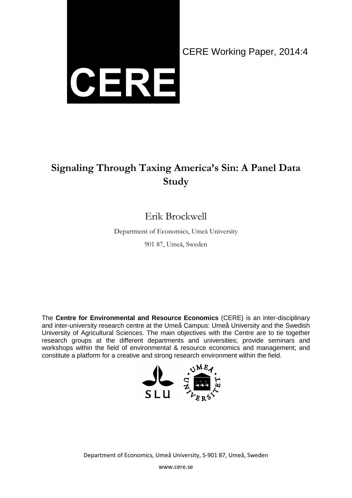

CERE Working Paper, 2014:4

### **Signaling Through Taxing America's Sin: A Panel Data Study**

### Erik Brockwell

Department of Economics, Umeå University

901 87, Umeå, Sweden

The **Centre for Environmental and Resource Economics** (CERE) is an inter-disciplinary and inter-university research centre at the Umeå Campus: Umeå University and the Swedish University of Agricultural Sciences. The main objectives with the Centre are to tie together research groups at the different departments and universities; provide seminars and workshops within the field of environmental & resource economics and management; and constitute a platform for a creative and strong research environment within the field.



Department of Economics, Umeå University, S-901 87, Umeå, Sweden

www.cere.se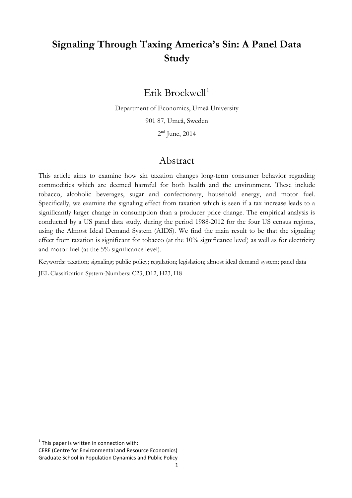### **Signaling Through Taxing America's Sin: A Panel Data Study**

Erik Brockwell<sup>[1](#page-1-0)</sup>

Department of Economics, Umeå University

901 87, Umeå, Sweden

 $2<sup>nd</sup>$  June, 2014

#### Abstract

This article aims to examine how sin taxation changes long-term consumer behavior regarding commodities which are deemed harmful for both health and the environment. These include tobacco, alcoholic beverages, sugar and confectionary, household energy, and motor fuel. Specifically, we examine the signaling effect from taxation which is seen if a tax increase leads to a significantly larger change in consumption than a producer price change. The empirical analysis is conducted by a US panel data study, during the period 1988-2012 for the four US census regions, using the Almost Ideal Demand System (AIDS). We find the main result to be that the signaling effect from taxation is significant for tobacco (at the 10% significance level) as well as for electricity and motor fuel (at the 5% significance level).

Keywords: taxation; signaling; public policy; regulation; legislation; almost ideal demand system; panel data

JEL Classification System-Numbers: C23, D12, H23, I18

<span id="page-1-0"></span> $1$ <sup>1</sup> This paper is written in connection with:

CERE (Centre for Environmental and Resource Economics) Graduate School in Population Dynamics and Public Policy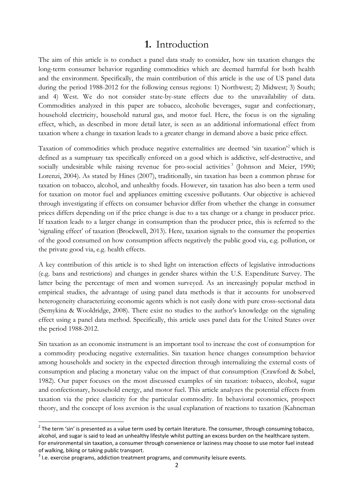#### **1.** Introduction

The aim of this article is to conduct a panel data study to consider, how sin taxation changes the long-term consumer behavior regarding commodities which are deemed harmful for both health and the environment. Specifically, the main contribution of this article is the use of US panel data during the period 1988-2012 for the following census regions: 1) Northwest; 2) Midwest; 3) South; and 4) West. We do not consider state-by-state effects due to the unavailability of data. Commodities analyzed in this paper are tobacco, alcoholic beverages, sugar and confectionary, household electricity, household natural gas, and motor fuel. Here, the focus is on the signaling effect, which, as described in more detail later, is seen as an additional informational effect from taxation where a change in taxation leads to a greater change in demand above a basic price effect.

Taxation of commodities which produce negative externalities are deemed 'sin taxation'[2](#page-2-0) which is defined as a sumptuary tax specifically enforced on a good which is addictive, self-destructive, and socially undesirable while raising revenue for pro-social activities<sup>[3](#page-2-1)</sup> (Johnson and Meier, 1990; Lorenzi, 2004). As stated by Hines (2007), traditionally, sin taxation has been a common phrase for taxation on tobacco, alcohol, and unhealthy foods. However, sin taxation has also been a term used for taxation on motor fuel and appliances emitting excessive pollutants. Our objective is achieved through investigating if effects on consumer behavior differ from whether the change in consumer prices differs depending on if the price change is due to a tax change or a change in producer price. If taxation leads to a larger change in consumption than the producer price, this is referred to the 'signaling effect' of taxation (Brockwell, 2013). Here, taxation signals to the consumer the properties of the good consumed on how consumption affects negatively the public good via, e.g. pollution, or the private good via, e.g. health effects.

A key contribution of this article is to shed light on interaction effects of legislative introductions (e.g. bans and restrictions) and changes in gender shares within the U.S. Expenditure Survey. The latter being the percentage of men and women surveyed. As an increasingly popular method in empirical studies, the advantage of using panel data methods is that it accounts for unobserved heterogeneity characterizing economic agents which is not easily done with pure cross-sectional data (Semykina & Wooldridge, 2008). There exist no studies to the author's knowledge on the signaling effect using a panel data method. Specifically, this article uses panel data for the United States over the period 1988-2012.

Sin taxation as an economic instrument is an important tool to increase the cost of consumption for a commodity producing negative externalities. Sin taxation hence changes consumption behavior among households and society in the expected direction through internalizing the external costs of consumption and placing a monetary value on the impact of that consumption (Crawford & Sobel, 1982). Our paper focuses on the most discussed examples of sin taxation: tobacco, alcohol, sugar and confectionary, household energy, and motor fuel. This article analyzes the potential effects from taxation via the price elasticity for the particular commodity. In behavioral economics, prospect theory, and the concept of loss aversion is the usual explanation of reactions to taxation (Kahneman

<span id="page-2-0"></span> $2$  The term 'sin' is presented as a value term used by certain literature. The consumer, through consuming tobacco, alcohol, and sugar is said to lead an unhealthy lifestyle whilst putting an excess burden on the healthcare system. For environmental sin taxation, a consumer through convenience or laziness may choose to use motor fuel instead of walking, biking or taking public transport.

<span id="page-2-1"></span> $3$  I.e. exercise programs, addiction treatment programs, and community leisure events.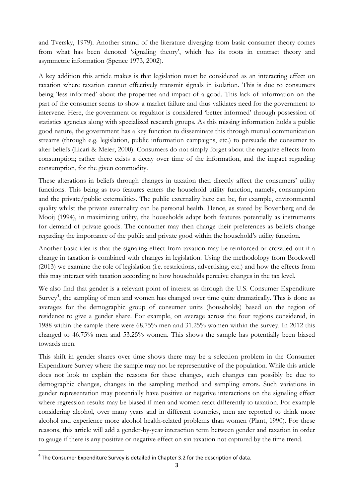and Tversky, 1979). Another strand of the literature diverging from basic consumer theory comes from what has been denoted 'signaling theory', which has its roots in contract theory and asymmetric information (Spence 1973, 2002).

A key addition this article makes is that legislation must be considered as an interacting effect on taxation where taxation cannot effectively transmit signals in isolation. This is due to consumers being 'less informed' about the properties and impact of a good. This lack of information on the part of the consumer seems to show a market failure and thus validates need for the government to intervene. Here, the government or regulator is considered 'better informed' through possession of statistics agencies along with specialized research groups. As this missing information holds a public good nature, the government has a key function to disseminate this through mutual communication streams (through e.g. legislation, public information campaigns, etc.) to persuade the consumer to alter beliefs (Licari & Meier, 2000). Consumers do not simply forget about the negative effects from consumption; rather there exists a decay over time of the information, and the impact regarding consumption, for the given commodity.

These alterations in beliefs through changes in taxation then directly affect the consumers' utility functions. This being as two features enters the household utility function, namely, consumption and the private/public externalities. The public externality here can be, for example, environmental quality whilst the private externality can be personal health. Hence, as stated by Bovenberg and de Mooij (1994), in maximizing utility, the households adapt both features potentially as instruments for demand of private goods. The consumer may then change their preferences as beliefs change regarding the importance of the public and private good within the household's utility function.

Another basic idea is that the signaling effect from taxation may be reinforced or crowded out if a change in taxation is combined with changes in legislation. Using the methodology from Brockwell (2013) we examine the role of legislation (i.e. restrictions, advertising, etc.) and how the effects from this may interact with taxation according to how households perceive changes in the tax level.

We also find that gender is a relevant point of interest as through the U.S. Consumer Expenditure Survey<sup>[4](#page-3-0)</sup>, the sampling of men and women has changed over time quite dramatically. This is done as averages for the demographic group of consumer units (households) based on the region of residence to give a gender share. For example, on average across the four regions considered, in 1988 within the sample there were 68.75% men and 31.25% women within the survey. In 2012 this changed to 46.75% men and 53.25% women. This shows the sample has potentially been biased towards men.

This shift in gender shares over time shows there may be a selection problem in the Consumer Expenditure Survey where the sample may not be representative of the population. While this article does not look to explain the reasons for these changes, such changes can possibly be due to demographic changes, changes in the sampling method and sampling errors. Such variations in gender representation may potentially have positive or negative interactions on the signaling effect where regression results may be biased if men and women react differently to taxation. For example considering alcohol, over many years and in different countries, men are reported to drink more alcohol and experience more alcohol health-related problems than women (Plant, 1990). For these reasons, this article will add a gender-by-year interaction term between gender and taxation in order to gauge if there is any positive or negative effect on sin taxation not captured by the time trend.

<span id="page-3-0"></span><sup>&</sup>lt;sup>4</sup> The Consumer Expenditure Survey is detailed in Chapter 3.2 for the description of data.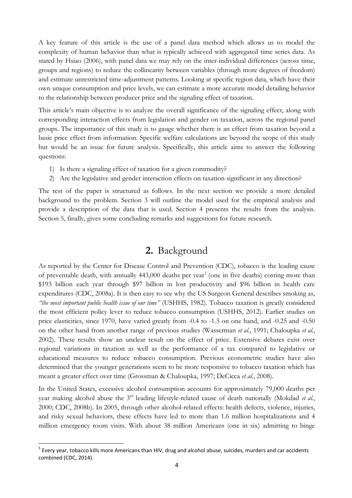A key feature of this article is the use of a panel data method which allows us to model the complexity of human behavior than what is typically achieved with aggregated time series data. As stated by Hsiao (2006), with panel data we may rely on the inter-individual differences (across time, groups and regions) to reduce the collinearity between variables (through more degrees of freedom) and estimate unrestricted time-adjustment patterns. Looking at specific region data, which have their own unique consumption and price levels, we can estimate a more accurate model detailing behavior to the relationship between producer price and the signaling effect of taxation.

This article's main objective is to analyze the overall significance of the signaling effect, along with corresponding interaction effects from legislation and gender on taxation, across the regional panel groups. The importance of this study is to gauge whether there is an effect from taxation beyond a basic price effect from information. Specific welfare calculations are beyond the scope of this study but would be an issue for future analysis. Specifically, this article aims to answer the following questions:

- 1) Is there a signaling effect of taxation for a given commodity?
- 2) Are the legislative and gender interaction effects on taxation significant in any direction?

The rest of the paper is structured as follows. In the next section we provide a more detailed background to the problem. Section 3 will outline the model used for the empirical analysis and provide a description of the data that is used. Section 4 presents the results from the analysis. Section 5, finally, gives some concluding remarks and suggestions for future research.

### **2.** Background

As reported by the Center for Disease Control and Prevention (CDC), tobacco is the leading cause of preventable death, with annually  $443,000$  deaths per year<sup>[5](#page-4-0)</sup> (one in five deaths) costing more than \$193 billion each year through \$97 billion in lost productivity and \$96 billion in health care expenditures (CDC, 2008a). It is then easy to see why the US Surgeon General describes smoking as, *"the most important public health issue of our time"* (USHHS, 1982). Tobacco taxation is greatly considered the most efficient policy lever to reduce tobacco consumption (USHHS, 2012). Earlier studies on price elasticities, since 1970, have varied greatly from -0.4 to -1.3 on one hand, and -0.25 and -0.50 on the other hand from another range of previous studies (Wasserman *et al.*, 1991; Chaloupka *et al.*, 2002). These results show an unclear result on the effect of price. Extensive debates exist over regional variations in taxation as well as the performance of a tax compared to legislative or educational measures to reduce tobacco consumption. Previous econometric studies have also determined that the younger generations seem to be more responsive to tobacco taxation which has meant a greater effect over time (Grossman & Chaloupka, 1997; DeCicca *et al.*, 2008).

In the United States, excessive alcohol consumption accounts for approximately 79,000 deaths per year making alcohol abuse the 3rd leading lifestyle-related cause of death nationally (Mokdad *et al.*, 2000; CDC, 2008b). In 2005, through other alcohol-related effects: health defects, violence, injuries, and risky sexual behaviors, these effects have led to more than 1.6 million hospitalizations and 4 million emergency room visits. With about 38 million Americans (one in six) admitting to binge

<span id="page-4-0"></span> $^5$  Every year, tobacco kills more Americans than HIV, drug and alcohol abuse, suicides, murders and car accidents combined (CDC, 2014).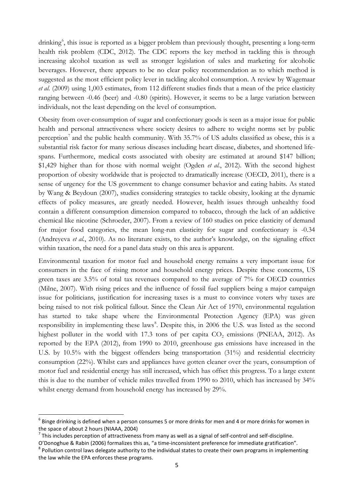drinking<sup>[6](#page-5-0)</sup>, this issue is reported as a bigger problem than previously thought, presenting a long-term health risk problem (CDC, 2012). The CDC reports the key method in tackling this is through increasing alcohol taxation as well as stronger legislation of sales and marketing for alcoholic beverages. However, there appears to be no clear policy recommendation as to which method is suggested as the most efficient policy lever in tackling alcohol consumption. A review by Wagemaar *et al.* (2009) using 1,003 estimates, from 112 different studies finds that a mean of the price elasticity ranging between -0.46 (beer) and -0.80 (spirits). However, it seems to be a large variation between individuals, not the least depending on the level of consumption.

Obesity from over-consumption of sugar and confectionary goods is seen as a major issue for public health and personal attractiveness where society desires to adhere to weight norms set by public perception<sup>[7](#page-5-1)</sup> and the public health community. With 35.7% of US adults classified as obese, this is a substantial risk factor for many serious diseases including heart disease, diabetes, and shortened lifespans. Furthermore, medical costs associated with obesity are estimated at around \$147 billion; \$1,429 higher than for those with normal weight (Ogden *et al.*, 2012). With the second highest proportion of obesity worldwide that is projected to dramatically increase (OECD, 2011), there is a sense of urgency for the US government to change consumer behavior and eating habits. As stated by Wang & Beydoun (2007), studies considering strategies to tackle obesity, looking at the dynamic effects of policy measures, are greatly needed. However, health issues through unhealthy food contain a different consumption dimension compared to tobacco, through the lack of an addictive chemical like nicotine (Schroeder, 2007). From a review of 160 studies on price elasticity of demand for major food categories, the mean long-run elasticity for sugar and confectionary is -0.34 (Andreyeva *et al.*, 2010). As no literature exists, to the author's knowledge, on the signaling effect within taxation, the need for a panel data study on this area is apparent.

Environmental taxation for motor fuel and household energy remains a very important issue for consumers in the face of rising motor and household energy prices. Despite these concerns, US green taxes are 3.5% of total tax revenues compared to the average of 7% for OECD countries (Milne, 2007). With rising prices and the influence of fossil fuel suppliers being a major campaign issue for politicians, justification for increasing taxes is a must to convince voters why taxes are being raised to not risk political fallout. Since the Clean Air Act of 1970, environmental regulation has started to take shape where the Environmental Protection Agency (EPA) was given responsibility in implementing these laws [8](#page-5-2) . Despite this, in 2006 the U.S. was listed as the second highest polluter in the world with  $17.3$  tons of per capita  $CO<sub>2</sub>$  emissions (PNEAA, 2012). As reported by the EPA (2012), from 1990 to 2010, greenhouse gas emissions have increased in the U.S. by 10.5% with the biggest offenders being transportation (31%) and residential electricity consumption (22%). Whilst cars and appliances have gotten cleaner over the years, consumption of motor fuel and residential energy has still increased, which has offset this progress. To a large extent this is due to the number of vehicle miles travelled from 1990 to 2010, which has increased by 34% whilst energy demand from household energy has increased by 29%.

<span id="page-5-0"></span> $6$  Binge drinking is defined when a person consumes 5 or more drinks for men and 4 or more drinks for women in the space of about 2 hours (NIAAA, 2004)

<span id="page-5-1"></span> $<sup>7</sup>$  This includes perception of attractiveness from many as well as a signal of self-control and self-discipline.</sup>

<span id="page-5-2"></span>O'Donoghue & Rabin (2006) formalizes this as, "a time-inconsistent preference for immediate gratification".<br><sup>8</sup> Pollution control laws delegate authority to the individual states to create their own programs in implementin the law while the EPA enforces these programs.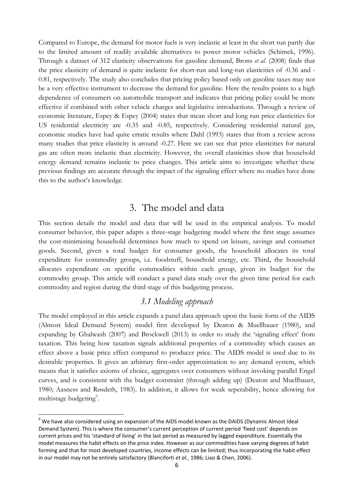Compared to Europe, the demand for motor fuels is very inelastic at least in the short run partly due to the limited amount of readily available alternatives to power motor vehicles (Schimek, 1996). Through a dataset of 312 elasticity observations for gasoline demand, Brons *et al.* (2008) finds that the price elasticity of demand is quite inelastic for short-run and long-run elasticities of -0.36 and - 0.81, respectively. The study also concludes that pricing policy based only on gasoline taxes may not be a very effective instrument to decrease the demand for gasoline. Here the results points to a high dependence of consumers on automobile transport and indicates that pricing policy could be more effective if combined with other vehicle charges and legislative introductions. Through a review of economic literature, Espey & Espey (2004) states that mean short and long run price elasticities for US residential electricity are -0.35 and -0.85, respectively. Considering residential natural gas, economic studies have had quite erratic results where Dahl (1993) states that from a review across many studies that price elasticity is around -0.27. Here we can see that price elasticities for natural gas are often more inelastic than electricity. However, the overall elasticities show that household energy demand remains inelastic to price changes. This article aims to investigate whether these previous findings are accurate through the impact of the signaling effect where no studies have done this to the author's knowledge.

#### 3. The model and data

This section details the model and data that will be used in the empirical analysis. To model consumer behavior, this paper adapts a three-stage budgeting model where the first stage assumes the cost-minimizing household determines how much to spend on leisure, savings and consumer goods. Second, given a total budget for consumer goods, the household allocates its total expenditure for commodity groups, i.e. foodstuff, household energy, etc. Third, the household allocates expenditure on specific commodities within each group, given its budget for the commodity group. This article will conduct a panel data study over the given time period for each commodity and region during the third stage of this budgeting process.

#### *3.1 Modeling approach*

The model employed in this article expands a panel data approach upon the basic form of the AIDS (Almost Ideal Demand System) model first developed by Deaton & Muellbauer (1980), and expanding by Ghalwash (2007) and Brockwell (2013) in order to study the 'signaling effect' from taxation. This being how taxation signals additional properties of a commodity which causes an effect above a basic price effect compared to producer price. The AIDS model is used due to its desirable properties. It gives an arbitrary first-order approximation to any demand system, which means that it satisfies axioms of choice, aggregates over consumers without invoking parallel Engel curves, and is consistent with the budget constraint (through adding up) (Deaton and Muellbauer, 1980; Aasness and Røsdeth, 1983). In addition, it allows for weak seperability, hence allowing for multistage budgeting<sup>[9](#page-6-0)</sup>.

<span id="page-6-0"></span><sup>&</sup>lt;sup>9</sup> We have also considered using an expansion of the AIDS model known as the DAIDS (Dynamic Almost Ideal Demand System). This is where the consumer's current perception of current period 'fixed cost' depends on current prices and his 'standard of living' in the last period as measured by lagged expenditure. Essentially the model measures the habit effects on the price index. However as our commodities have varying degrees of habit forming and that for most developed countries, income effects can be limited; thus incorporating the habit effect in our model may not be entirely satisfactory (Blanciforti *et al.*, 1986; Liao & Chen, 2006).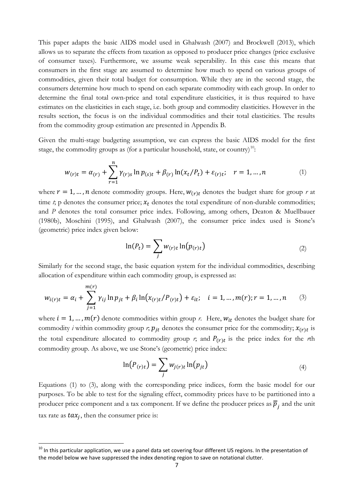This paper adapts the basic AIDS model used in Ghalwash (2007) and Brockwell (2013), which allows us to separate the effects from taxation as opposed to producer price changes (price exclusive of consumer taxes). Furthermore, we assume weak seperability. In this case this means that consumers in the first stage are assumed to determine how much to spend on various groups of commodities, given their total budget for consumption. While they are in the second stage, the consumers determine how much to spend on each separate commodity with each group. In order to determine the final total own-price and total expenditure elasticities, it is thus required to have estimates on the elasticities in each stage, i.e. both group and commodity elasticities. However in the results section, the focus is on the individual commodities and their total elasticities. The results from the commodity group estimation are presented in Appendix B.

Given the multi-stage budgeting assumption, we can express the basic AIDS model for the first stage, the commodity groups as (for a particular household, state, or country)<sup>[10](#page-7-0)</sup>:

$$
w_{(r)t} = \alpha_{(r)} + \sum_{r=1}^{n} \gamma_{(r)s} \ln p_{(s)t} + \beta_{(r)} \ln(x_t/P_t) + \varepsilon_{(r)t}; \quad r = 1, ..., n
$$
 (1)

where  $r = 1, ..., n$  denote commodity groups. Here,  $w_{(r)t}$  denotes the budget share for group *r* at time  $t$ ; p denotes the consumer price;  $x_t$  denotes the total expenditure of non-durable commodities; and *P* denotes the total consumer price index. Following, among others, Deaton & Muellbauer (1980b), Moschini (1995), and Ghalwash (2007), the consumer price index used is Stone's (geometric) price index given below:

$$
\ln(P_t) = \sum_j w_{(r)t} \ln(p_{(r)t})
$$
\n(2)

Similarly for the second stage, the basic equation system for the individual commodities, describing allocation of expenditure within each commodity group, is expressed as:

$$
w_{i(r)t} = \alpha_i + \sum_{j=1}^{m(r)} \gamma_{ij} \ln p_{jt} + \beta_i \ln(x_{(r)t}/P_{(r)t}) + \varepsilon_{it}; \quad i = 1, ..., m(r); r = 1, ..., n \quad (3)
$$

where  $i = 1, ..., m(r)$  denote commodities within group *r*. Here,  $w_{it}$  denotes the budget share for commodity *i* within commodity group *r*;  $p_{it}$  denotes the consumer price for the commodity;  $x_{(r)t}$  is the total expenditure allocated to commodity group  $r$ ; and  $P(r)t$  is the price index for the *r*th commodity group. As above, we use Stone's (geometric) price index:

$$
\ln(P_{(r)t}) = \sum_{j} w_{j(r)t} \ln(p_{jt})
$$
\n(4)

Equations (1) to (3), along with the corresponding price indices, form the basic model for our purposes. To be able to test for the signaling effect, commodity prices have to be partitioned into a producer price component and a tax component. If we define the producer prices as  $\overline{p}_i$ , and the unit tax rate as  $tax_i$ , then the consumer price is:

<span id="page-7-0"></span> $10$  In this particular application, we use a panel data set covering four different US regions. In the presentation of the model below we have suppressed the index denoting region to save on notational clutter.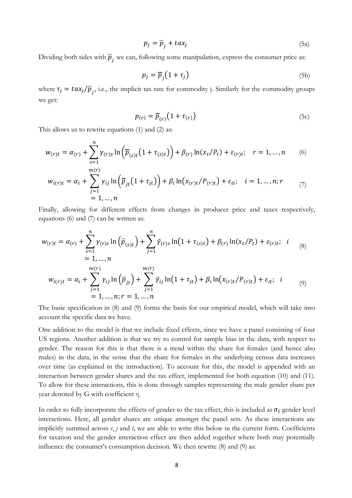$$
p_j = \overline{p}_j + tax_j \tag{5a}
$$

Dividing both sides with  $\overline{p}_i$ , we can, following some manipulation, express the consumer price as:

$$
p_j = \overline{p}_j \left( 1 + \tau_j \right) \tag{5b}
$$

where  $\tau_j = \frac{tax_j}{\overline{p}_i}$ , i.e., the implicit tax rate for commodity j. Similarly for the commodity groups we get:

$$
p_{(r)} = \overline{p}_{(r)} \big( 1 + \tau_{(r)} \big) \tag{5c}
$$

This allows us to rewrite equations (1) and (2) as:

$$
w_{(r)t} = \alpha_{(r)} + \sum_{s=1}^{n} \gamma_{(r)s} \ln \left( \overline{p}_{(s)t} \left( 1 + \tau_{(s)t} \right) \right) + \beta_{(r)} \ln(x_t/P_t) + \varepsilon_{(r)t}; \quad r = 1, \dots, n \tag{6}
$$

$$
w_{i(r)t} = \alpha_i + \sum_{j=1}^{n(r)} \gamma_{ij} \ln \left( \overline{p}_{jt} \left( 1 + \tau_{jt} \right) \right) + \beta_i \ln \left( x_{(r)t} / P_{(r)t} \right) + \varepsilon_{it}; \quad i = 1, ..., n; r
$$
  
= 1, ..., n

Finally, allowing for different effects from changes in producer price and taxes respectively, equations (6) and (7) can be written as:

$$
w_{(r)t} = \alpha_{(r)} + \sum_{s=1}^{n} \gamma_{(r)s} \ln(\overline{p}_{(s)t}) + \sum_{j=1}^{n} \tilde{\gamma}_{(r)s} \ln(1 + \tau_{(s)t}) + \beta_{(r)} \ln(x_t/P_t) + \varepsilon_{(r)t}; \quad i \in [8]
$$
  
= 1, ..., n  

$$
w_{i(r)t} = \alpha_i + \sum_{j=1}^{m(r)} \gamma_{ij} \ln(\overline{p}_{jt}) + \sum_{j=1}^{m(r)} \tilde{\gamma}_{ij} \ln(1 + \tau_{jt}) + \beta_i \ln(x_{(r)t}/P_{(r)t}) + \varepsilon_{it}; \quad i \in [9]
$$
  
= 1, ..., n; r = 1, ..., n

The basic specification in (8) and (9) forms the basis for our empirical model, which will take into account the specific data we have.

One addition to the model is that we include fixed effects, since we have a panel consisting of four US regions. Another addition is that we try to control for sample bias in the data, with respect to gender. The reason for this is that there is a trend within the share for females (and hence also males) in the data, in the sense that the share for females in the underlying census data increases over time (as explained in the introduction). To account for this, the model is appended with an interaction between gender shares and the tax effect, implemented for both equation (10) and (11). To allow for these interactions, this is done through samples representing the male gender share per year denoted by G with coefficient η.

In order to fully incorporate the effects of gender to the tax effect, this is included as  $\sigma_l$  gender level interactions. Here, all gender shares are unique amongst the panel sets. As these interactions are implicitly summed across  $r$ ,  $j$  and  $t$ , we are able to write this below in the current form. Coefficients for taxation and the gender interaction effect are then added together where both may potentially influence the consumer's consumption decision. We then rewrite (8) and (9) as: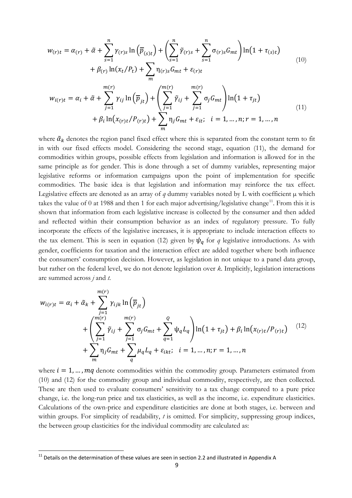$$
w_{(r)t} = \alpha_{(r)} + \tilde{\alpha} + \sum_{s=1}^{n} \gamma_{(r)s} \ln(\overline{p}_{(s)t}) + \left(\sum_{s=1}^{n} \tilde{\gamma}_{(r)s} + \sum_{s=1}^{n} \sigma_{(r)s} G_{mt}\right) \ln(1 + \tau_{(s)t})
$$
  
+  $\beta_{(r)} \ln(x_t/P_t) + \sum_m \eta_{(r)s} G_{mt} + \varepsilon_{(r)t}$   

$$
w_{i(r)t} = \alpha_i + \tilde{\alpha} + \sum_{j=1}^{m(r)} \gamma_{ij} \ln(\overline{p}_{jt}) + \left(\sum_{j=1}^{m(r)} \tilde{\gamma}_{ij} + \sum_{j=1}^{m(r)} \sigma_j G_{mt}\right) \ln(1 + \tau_{jt})
$$
  
+  $\beta_i \ln(x_{(r)t}/P_{(r)t}) + \sum_m \eta_j G_{mt} + \varepsilon_{it}; \quad i = 1, ..., n; r = 1, ..., n$  (11)

where  $\tilde{\alpha}_k$  denotes the region panel fixed effect where this is separated from the constant term to fit in with our fixed effects model. Considering the second stage, equation (11), the demand for commodities within groups, possible effects from legislation and information is allowed for in the same principle as for gender. This is done through a set of dummy variables, representing major legislative reforms or information campaigns upon the point of implementation for specific commodities. The basic idea is that legislation and information may reinforce the tax effect. Legislative effects are denoted as an array of  $q$  dummy variables noted by L with coefficient  $\mu$  which takes the value of 0 at 1988 and then 1 for each major advertising/legislative change<sup>11</sup>. From this it is shown that information from each legislative increase is collected by the consumer and then added and reflected within their consumption behavior as an index of regulatory pressure. To fully incorporate the effects of the legislative increases, it is appropriate to include interaction effects to the tax element. This is seen in equation (12) given by  $\psi_q$  for q legislative introductions. As with gender, coefficients for taxation and the interaction effect are added together where both influence the consumers' consumption decision. However, as legislation in not unique to a panel data group, but rather on the federal level, we do not denote legislation over *k*. Implicitly, legislation interactions are summed across *j* and *t*.

$$
w_{i(r)t} = \alpha_i + \tilde{\alpha}_k + \sum_{j=1}^{m(r)} \gamma_{ijk} \ln \left( \overline{p}_{jt} \right)
$$
  
+ 
$$
\left( \sum_{j=1}^{m(r)} \tilde{\gamma}_{ij} + \sum_{j=1}^{m(r)} \sigma_j G_{mt} + \sum_{q=1}^{Q} \psi_q L_q \right) \ln (1 + \tau_{jt}) + \beta_i \ln (x_{(r)t} / P_{(r)t}) \quad (12)
$$
  
+ 
$$
\sum_{m} \eta_j G_{mt} + \sum_{q} \mu_q L_q + \varepsilon_{ikt}; \quad i = 1, ..., n; r = 1, ..., n
$$

where  $i = 1, \dots, mq$  denote commodities within the commodity group. Parameters estimated from (10) and (12) for the commodity group and individual commodity, respectively, are then collected. These are then used to evaluate consumers' sensitivity to a tax change compared to a pure price change, i.e. the long-run price and tax elasticities, as well as the income, i.e. expenditure elasticities. Calculations of the own-price and expenditure elasticities are done at both stages, i.e. between and within groups. For simplicity of readability, *t* is omitted. For simplicity, suppressing group indices, the between group elasticities for the individual commodity are calculated as:

<span id="page-9-0"></span> $11$  Details on the determination of these values are seen in section 2.2 and illustrated in Appendix A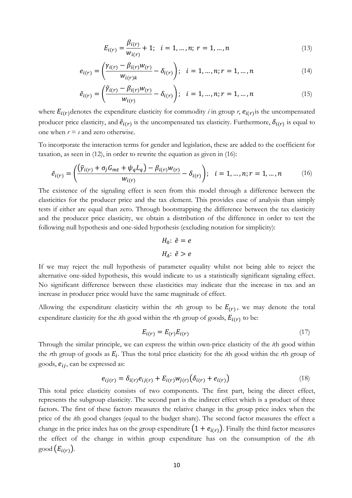$$
E_{i(r)} = \frac{\beta_{i(r)}}{w_{i(r)}} + 1; \quad i = 1, ..., n; \ r = 1, ..., n
$$
\n(13)

$$
e_{i(r)} = \left(\frac{\gamma_{i(r)} - \beta_{i(r)}w_{(r)}}{w_{i(r)k}} - \delta_{i(r)}\right); \quad i = 1, ..., n; r = 1, ..., n
$$
 (14)

$$
\tilde{e}_{i(r)} = \left(\frac{\tilde{\gamma}_{i(r)} - \beta_{i(r)}w_{(r)}}{w_{i(r)}} - \delta_{i(r)}\right); \quad i = 1, ..., n; r = 1, ..., n
$$
\n(15)

where  $E_{i(r)}$  denotes the expenditure elasticity for commodity *i* in group *r*,  $e_{i(r)}$  is the uncompensated producer price elasticity, and  $\tilde{e}_{i(r)}$  is the uncompensated tax elasticity. Furthermore,  $\delta_{i(r)}$  is equal to one when  $r = s$  and zero otherwise.

To incorporate the interaction terms for gender and legislation, these are added to the coefficient for taxation, as seen in (12), in order to rewrite the equation as given in (16):

$$
\tilde{e}_{i(r)} = \left( \frac{(\tilde{\gamma}_{i(r)} + \sigma_j G_{mt} + \psi_q L_q) - \beta_{i(r)} w_{r}}{w_{i(r)}} - \delta_{i(r)} \right); \quad i = 1, ..., n; r = 1, ..., n
$$
\n(16)

The existence of the signaling effect is seen from this model through a difference between the elasticities for the producer price and the tax element. This provides ease of analysis than simply tests if either are equal than zero. Through bootstrapping the difference between the tax elasticity and the producer price elasticity, we obtain a distribution of the difference in order to test the following null hypothesis and one-sided hypothesis (excluding notation for simplicity):

$$
H_0: \tilde{e} = e
$$

$$
H_A: \tilde{e} > e
$$

If we may reject the null hypothesis of parameter equality whilst not being able to reject the alternative one-sided hypothesis, this would indicate to us a statistically significant signaling effect. No significant difference between these elasticities may indicate that the increase in tax and an increase in producer price would have the same magnitude of effect.

Allowing the expenditure elasticity within the *r*th group to be  $E(r)$ , we may denote the total expenditure elasticity for the  $i$ th good within the  $r$ th group of goods,  $E_{i(r)}$  to be:

$$
E_{i(r)} = E_{(r)} E_{i(r)} \tag{17}
$$

Through the similar principle, we can express the within own-price elasticity of the *i*th good within the *r*th group of goods as  $E_i$ . Thus the total price elasticity for the *i*th good within the *r*th group of goods,  $e_{ij}$ , can be expressed as:

$$
e_{ij(r)} = \delta_{i(r)} e_{ij(r)} + E_{i(r)} w_{j(r)} (\delta_{i(r)} + e_{i(r)})
$$
\n(18)

This total price elasticity consists of two components. The first part, being the direct effect, represents the subgroup elasticity. The second part is the indirect effect which is a product of three factors. The first of these factors measures the relative change in the group price index when the price of the *i*th good changes (equal to the budget share). The second factor measures the effect a change in the price index has on the group expenditure  $(1 + e_{i(r)})$ . Finally the third factor measures the effect of the change in within group expenditure has on the consumption of the *i*th good  $(E_{i(r)})$ .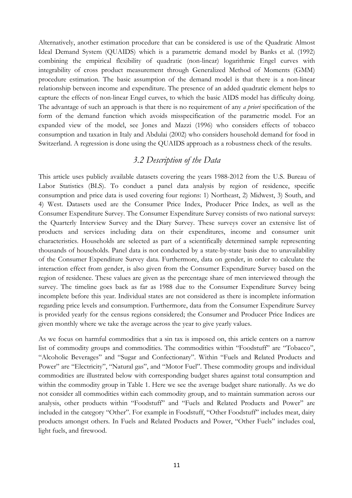Alternatively, another estimation procedure that can be considered is use of the Quadratic Almost Ideal Demand System (QUAIDS) which is a parametric demand model by Banks et al. (1992) combining the empirical flexibility of quadratic (non-linear) logarithmic Engel curves with integrability of cross product measurement through Generalized Method of Moments (GMM) procedure estimation. The basic assumption of the demand model is that there is a non-linear relationship between income and expenditure. The presence of an added quadratic element helps to capture the effects of non-linear Engel curves, to which the basic AIDS model has difficulty doing. The advantage of such an approach is that there is no requirement of any *a priori* specification of the form of the demand function which avoids misspecification of the parametric model. For an expanded view of the model, see Jones and Mazzi (1996) who considers effects of tobacco consumption and taxation in Italy and Abdulai (2002) who considers household demand for food in Switzerland. A regression is done using the QUAIDS approach as a robustness check of the results.

#### *3.2 Description of the Data*

This article uses publicly available datasets covering the years 1988-2012 from the U.S. Bureau of Labor Statistics (BLS). To conduct a panel data analysis by region of residence, specific consumption and price data is used covering four regions: 1) Northeast, 2) Midwest, 3) South, and 4) West. Datasets used are the Consumer Price Index, Producer Price Index, as well as the Consumer Expenditure Survey. The Consumer Expenditure Survey consists of two national surveys: the Quarterly Interview Survey and the Diary Survey. These surveys cover an extensive list of products and services including data on their expenditures, income and consumer unit characteristics. Households are selected as part of a scientifically determined sample representing thousands of households. Panel data is not conducted by a state-by-state basis due to unavailability of the Consumer Expenditure Survey data. Furthermore, data on gender, in order to calculate the interaction effect from gender, is also given from the Consumer Expenditure Survey based on the region of residence. These values are given as the percentage share of men interviewed through the survey. The timeline goes back as far as 1988 due to the Consumer Expenditure Survey being incomplete before this year. Individual states are not considered as there is incomplete information regarding price levels and consumption. Furthermore, data from the Consumer Expenditure Survey is provided yearly for the census regions considered; the Consumer and Producer Price Indices are given monthly where we take the average across the year to give yearly values.

As we focus on harmful commodities that a sin tax is imposed on, this article centers on a narrow list of commodity groups and commodities. The commodities within "Foodstuff" are "Tobacco", "Alcoholic Beverages" and "Sugar and Confectionary". Within "Fuels and Related Products and Power" are "Electricity", "Natural gas", and "Motor Fuel". These commodity groups and individual commodities are illustrated below with corresponding budget shares against total consumption and within the commodity group in Table 1. Here we see the average budget share nationally. As we do not consider all commodities within each commodity group, and to maintain summation across our analysis, other products within "Foodstuff" and "Fuels and Related Products and Power" are included in the category "Other". For example in Foodstuff, "Other Foodstuff" includes meat, dairy products amongst others. In Fuels and Related Products and Power, "Other Fuels" includes coal, light fuels, and firewood.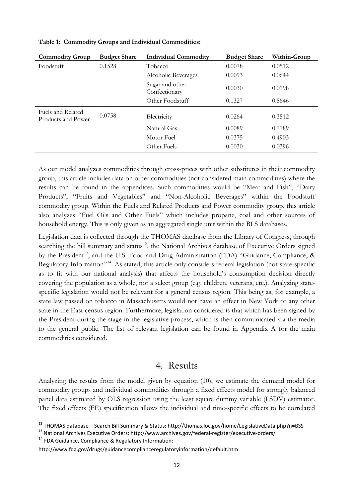| <b>Commodity Group</b>                  | <b>Budget Share</b> | <b>Individual Commodity</b>      | <b>Budget Share</b> | Within-Group |
|-----------------------------------------|---------------------|----------------------------------|---------------------|--------------|
| Foodstuff                               | 0.1528              | Tobacco                          | 0.0078              | 0.0512       |
|                                         |                     | Alcoholic Beverages              | 0.0093              | 0.0644       |
|                                         |                     | Sugar and other<br>Confectionary | 0.0030              | 0.0198       |
|                                         |                     | Other Foodstuff                  | 0.1327              | 0.8646       |
| Fuels and Related<br>Products and Power | 0.0758              | Electricity                      | 0.0264              | 0.3512       |
|                                         |                     | Natural Gas                      | 0.0089              | 0.1189       |
|                                         |                     | Motor Fuel                       | 0.0375              | 0.4903       |
|                                         |                     | Other Fuels                      | 0.0030              | 0.0396       |

**Table 1: Commodity Groups and Individual Commodities:**

As our model analyzes commodities through cross-prices with other substitutes in their commodity group, this article includes data on other commodities (not considered main commodities) where the results can be found in the appendices. Such commodities would be "Meat and Fish", "Dairy Products", "Fruits and Vegetables" and "Non-Alcoholic Beverages" within the Foodstuff commodity group. Within the Fuels and Related Products and Power commodity group, this article also analyzes "Fuel Oils and Other Fuels" which includes propane, coal and other sources of household energy. This is only given as an aggregated single unit within the BLS databases.

Legislation data is collected through the THOMAS database from the Library of Congress, through searching the bill summary and status<sup>[12](#page-12-0)</sup>, the National Archives database of Executive Orders signed by the President<sup>[13](#page-12-1)</sup>, and the U.S. Food and Drug Administration (FDA) "Guidance, Compliance, & Regulatory Information"<sup>14</sup>. As stated, this article only considers federal legislation (not state-specific as to fit with our national analysis) that affects the household's consumption decision directly covering the population as a whole, not a select group (e.g. children, veterans, etc.). Analyzing statespecific legislation would not be relevant for a general census region. This being as, for example, a state law passed on tobacco in Massachusetts would not have an effect in New York or any other state in the East census region. Furthermore, legislation considered is that which has been signed by the President during the stage in the legislative process, which is then communicated via the media to the general public. The list of relevant legislation can be found in Appendix A for the main commodities considered.

#### 4. Results

Analyzing the results from the model given by equation (10), we estimate the demand model for commodity groups and individual commodities through a fixed effects model for strongly balanced panel data estimated by OLS regression using the least square dummy variable (LSDV) estimator. The fixed effects (FE) specification allows the individual and time-specific effects to be correlated

<span id="page-12-2"></span><span id="page-12-1"></span><sup>14</sup> FDA Guidance, Compliance & Regulatory Information:

<span id="page-12-0"></span><sup>&</sup>lt;sup>12</sup> THOMAS database – Search Bill Summary & Status: http://thomas.loc.gov/home/LegislativeData.php?n=BSS 13 National Archives Executive Orders: http://www.archives.gov/federal-register/executive-orders/

http://www.fda.gov/drugs/guidancecomplianceregulatoryinformation/default.htm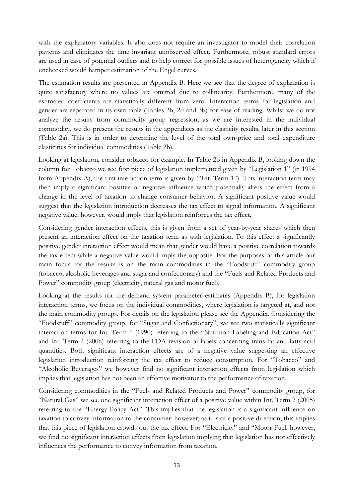with the explanatory variables. It also does not require an investigator to model their correlation patterns and eliminates the time invariant unobserved effect. Furthermore, robust standard errors are used in case of potential outliers and to help correct for possible issues of heterogeneity which if unchecked would hamper estimation of the Engel curves.

The estimation results are presented in Appendix B. Here we see that the degree of explanation is quite satisfactory where no values are omitted due to collinearity. Furthermore, many of the estimated coefficients are statistically different from zero. Interaction terms for legislation and gender are separated in its own table (Tables 2b, 2d and 3b) for ease of reading. Whilst we do not analyze the results from commodity group regression, as we are interested in the individual commodity, we do present the results in the appendices as the elasticity results, later in this section (Table 2a). This is in order to determine the level of the total own-price and total expenditure elasticities for individual commodities (Table 2b).

Looking at legislation, consider tobacco for example. In Table 2b in Appendix B, looking down the column for Tobacco we see first piece of legislation implemented given by "Legislation 1" (in 1994 from Appendix A), the first interaction term is given by ("Int. Term 1"). This interaction term may then imply a significant positive or negative influence which potentially alters the effect from a change in the level of taxation to change consumer behavior. A significant positive value would suggest that the legislation introduction decreases the tax effect to signal information. A significant negative value, however, would imply that legislation reinforces the tax effect.

Considering gender interaction effects, this is given from a set of year-by-year shares which then present an interaction effect on the taxation term as with legislation. To this effect a significantly positive gender interaction effect would mean that gender would have a positive correlation towards the tax effect while a negative value would imply the opposite. For the purposes of this article our main focus for the results is on the main commodities in the "Foodstuff" commodity group (tobacco, alcoholic beverages and sugar and confectionary) and the "Fuels and Related Products and Power" commodity group (electricity, natural gas and motor fuel).

Looking at the results for the demand system parameter estimates (Appendix B), for legislation interaction terms, we focus on the individual commodities, where legislation is targeted at, and not the main commodity groups. For details on the legislation please see the Appendix. Considering the "Foodstuff" commodity group, for "Sugar and Confectionary", we see two statistically significant interaction terms for Int. Term 1 (1990) referring to the "Nutrition Labeling and Education Act" and Int. Term 4 (2006) referring to the FDA revision of labels concerning trans-fat and fatty acid quantities. Both significant interaction effects are of a negative value suggesting an effective legislation introduction reinforcing the tax effect to reduce consumption. For "Tobacco" and "Alcoholic Beverages" we however find no significant interaction effects from legislation which implies that legislation has not been an effective motivator to the performance of taxation.

Considering commodities in the "Fuels and Related Products and Power" commodity group, for "Natural Gas" we see one significant interaction effect of a positive value within Int. Term 2 (2005) referring to the "Energy Policy Act". This implies that the legislation is a significant influence on taxation to convey information to the consumer; however, as it is of a positive direction, this implies that this piece of legislation crowds out the tax effect. For "Electricity" and "Motor Fuel, however, we find no significant interaction effects from legislation implying that legislation has not effectively influences the performance to convey information from taxation.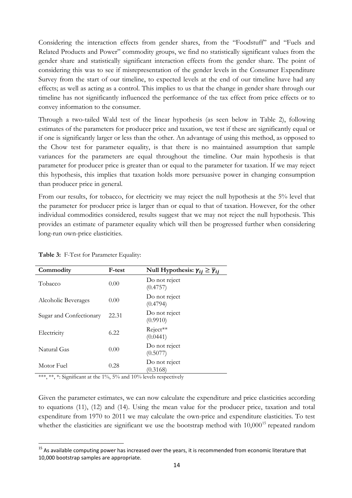Considering the interaction effects from gender shares, from the "Foodstuff" and "Fuels and Related Products and Power" commodity groups, we find no statistically significant values from the gender share and statistically significant interaction effects from the gender share. The point of considering this was to see if misrepresentation of the gender levels in the Consumer Expenditure Survey from the start of our timeline, to expected levels at the end of our timeline have had any effects; as well as acting as a control. This implies to us that the change in gender share through our timeline has not significantly influenced the performance of the tax effect from price effects or to convey information to the consumer.

Through a two-tailed Wald test of the linear hypothesis (as seen below in Table 2), following estimates of the parameters for producer price and taxation, we test if these are significantly equal or if one is significantly larger or less than the other. An advantage of using this method, as opposed to the Chow test for parameter equality, is that there is no maintained assumption that sample variances for the parameters are equal throughout the timeline. Our main hypothesis is that parameter for producer price is greater than or equal to the parameter for taxation. If we may reject this hypothesis, this implies that taxation holds more persuasive power in changing consumption than producer price in general.

From our results, for tobacco, for electricity we may reject the null hypothesis at the 5% level that the parameter for producer price is larger than or equal to that of taxation. However, for the other individual commodities considered, results suggest that we may not reject the null hypothesis. This provides an estimate of parameter equality which will then be progressed further when considering long-run own-price elasticities.

| Commodity               | F-test | Null Hypothesis: $\gamma_{ij} \geq \overline{\gamma}_{ij}$ |
|-------------------------|--------|------------------------------------------------------------|
| Tobacco                 | 0.00   | Do not reject<br>(0.4757)                                  |
| Alcoholic Beverages     | 0.00   | Do not reject<br>(0.4794)                                  |
| Sugar and Confectionary | 22.31  | Do not reject<br>(0.9910)                                  |
| Electricity             | 6.22   | Reject**<br>(0.0441)                                       |
| Natural Gas             | 0.00   | Do not reject<br>(0.5077)                                  |
| Motor Fuel              | 0.28   | Do not reject<br>(0.3168)                                  |

**Table 3:** F-Test for Parameter Equality:

\*\*\*, \*\*, \*: Significant at the  $1\%$ ,  $5\%$  and  $10\%$  levels respectively

Given the parameter estimates, we can now calculate the expenditure and price elasticities according to equations (11), (12) and (14). Using the mean value for the producer price, taxation and total expenditure from 1970 to 2011 we may calculate the own-price and expenditure elasticities. To test whether the elasticities are significant we use the bootstrap method with  $10,000^{15}$  $10,000^{15}$  $10,000^{15}$  repeated random

<span id="page-14-0"></span><sup>&</sup>lt;sup>15</sup> As available computing power has increased over the years, it is recommended from economic literature that 10,000 bootstrap samples are appropriate.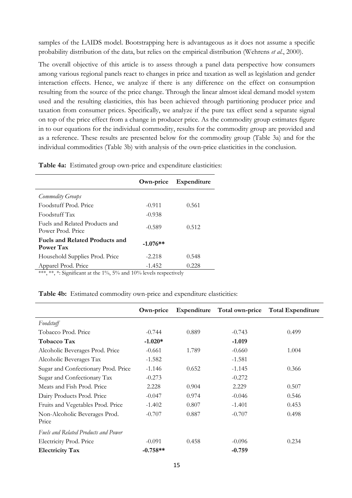samples of the LAIDS model. Bootstrapping here is advantageous as it does not assume a specific probability distribution of the data, but relies on the empirical distribution (Wehrens *et al.*, 2000).

The overall objective of this article is to assess through a panel data perspective how consumers among various regional panels react to changes in price and taxation as well as legislation and gender interaction effects. Hence, we analyze if there is any difference on the effect on consumption resulting from the source of the price change. Through the linear almost ideal demand model system used and the resulting elasticities, this has been achieved through partitioning producer price and taxation from consumer prices. Specifically, we analyze if the pure tax effect send a separate signal on top of the price effect from a change in producer price. As the commodity group estimates figure in to our equations for the individual commodity, results for the commodity group are provided and as a reference. These results are presented below for the commodity group (Table 3a) and for the individual commodities (Table 3b) with analysis of the own-price elasticities in the conclusion.

**Table 4a:** Estimated group own-price and expenditure elasticities:

|                                                     | Own-price  | Expenditure |
|-----------------------------------------------------|------------|-------------|
| Commodity Groups                                    |            |             |
| Foodstuff Prod. Price                               | $-0.911$   | 0.561       |
| Foodstuff Tax                                       | $-0.938$   |             |
| Fuels and Related Products and<br>Power Prod. Price | $-0.589$   | 0.512       |
| Fuels and Related Products and<br>Power Tax         | $-1.076**$ |             |
| Household Supplies Prod. Price                      | $-2.218$   | 0.548       |
| Apparel Prod. Price                                 | $-1.452$   | 0.228       |

\*\*\*, \*\*, \*: Significant at the 1%, 5% and 10% levels respectively

#### **Table 4b:** Estimated commodity own-price and expenditure elasticities:

|                                             | Own-price  | Expenditure | Total own-price | <b>Total Expenditure</b> |
|---------------------------------------------|------------|-------------|-----------------|--------------------------|
| Foodstuff                                   |            |             |                 |                          |
| Tobacco Prod. Price                         | $-0.744$   | 0.889       | $-0.743$        | 0.499                    |
| Tobacco Tax                                 | $-1.020*$  |             | $-1.019$        |                          |
| Alcoholic Beverages Prod. Price             | $-0.661$   | 1.789       | $-0.660$        | 1.004                    |
| Alcoholic Beverages Tax                     | $-1.582$   |             | $-1.581$        |                          |
| Sugar and Confectionary Prod. Price         | $-1.146$   | 0.652       | $-1.145$        | 0.366                    |
| Sugar and Confectionary Tax                 | $-0.273$   |             | $-0.272$        |                          |
| Meats and Fish Prod. Price                  | 2.228      | 0.904       | 2.229           | 0.507                    |
| Dairy Products Prod. Price                  | $-0.047$   | 0.974       | $-0.046$        | 0.546                    |
| Fruits and Vegetables Prod. Price           | $-1.402$   | 0.807       | $-1.401$        | 0.453                    |
| Non-Alcoholic Beverages Prod.<br>Price      | $-0.707$   | 0.887       | $-0.707$        | 0.498                    |
| <b>Fuels and Related Products and Power</b> |            |             |                 |                          |
| Electricity Prod. Price                     | $-0.091$   | 0.458       | $-0.096$        | 0.234                    |
| <b>Electricity Tax</b>                      | $-0.758**$ |             | $-0.759$        |                          |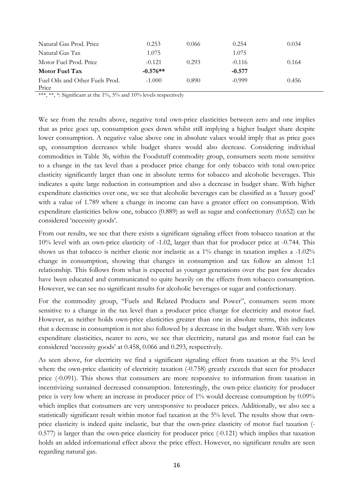| Natural Gas Prod. Price                  | 0.253      | 0.066 | 0.254    | 0.034 |
|------------------------------------------|------------|-------|----------|-------|
| Natural Gas Tax                          | 1.075      |       | 1.075    |       |
| Motor Fuel Prod. Price                   | $-0.121$   | 0.293 | $-0.116$ | 0.164 |
| <b>Motor Fuel Tax</b>                    | $-0.576**$ |       | $-0.577$ |       |
| Fuel Oils and Other Fuels Prod.<br>Price | $-1.000$   | 0.890 | $-0.999$ | 0.456 |

\*\*\*, \*\*, \*: Significant at the 1%, 5% and 10% levels respectively

We see from the results above, negative total own-price elasticities between zero and one implies that as price goes up, consumption goes down whilst still implying a higher budget share despite lower consumption. A negative value above one in absolute values would imply that as price goes up, consumption decreases while budget shares would also decrease. Considering individual commodities in Table 3b, within the Foodstuff commodity group, consumers seem more sensitive to a change in the tax level than a producer price change for only tobacco with total own-price elasticity significantly larger than one in absolute terms for tobacco and alcoholic beverages. This indicates a quite large reduction in consumption and also a decrease in budget share. With higher expenditure elasticities over one, we see that alcoholic beverages can be classified as a 'luxury good' with a value of 1.789 where a change in income can have a greater effect on consumption. With expenditure elasticities below one, tobacco (0.889) as well as sugar and confectionary (0.652) can be considered 'necessity goods'.

From our results, we see that there exists a significant signaling effect from tobacco taxation at the 10% level with an own-price elasticity of -1.02, larger than that for producer price at -0.744. This shows us that tobacco is neither elastic nor inelastic as a 1% change in taxation implies a -1.02% change in consumption, showing that changes in consumption and tax follow an almost 1:1 relationship. This follows from what is expected as younger generations over the past few decades have been educated and communicated to quite heavily on the effects from tobacco consumption. However, we can see no significant results for alcoholic beverages or sugar and confectionary.

For the commodity group, "Fuels and Related Products and Power", consumers seem more sensitive to a change in the tax level than a producer price change for electricity and motor fuel. However, as neither holds own-price elasticities greater than one in absolute terms, this indicates that a decrease in consumption is not also followed by a decrease in the budget share. With very low expenditure elasticities, nearer to zero, we see that electricity, natural gas and motor fuel can be considered 'necessity goods' at 0.458, 0.066 and 0.293, respectively.

As seen above, for electricity we find a significant signaling effect from taxation at the 5% level where the own-price elasticity of electricity taxation  $(-0.758)$  greatly exceeds that seen for producer price (-0.091). This shows that consumers are more responsive to information from taxation in incentivizing sustained decreased consumption. Interestingly, the own-price elasticity for producer price is very low where an increase in producer price of 1% would decrease consumption by 0.09% which implies that consumers are very unresponsive to producer prices. Additionally, we also see a statistically significant result within motor fuel taxation at the 5% level. The results show that ownprice elasticity is indeed quite inelastic, but that the own-price elasticity of motor fuel taxation (- 0.577) is larger than the own-price elasticity for producer price (-0.121) which implies that taxation holds an added informational effect above the price effect. However, no significant results are seen regarding natural gas.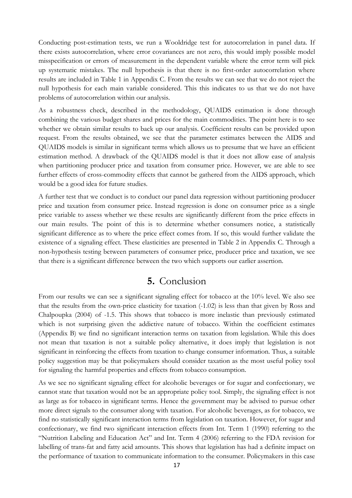Conducting post-estimation tests, we run a Wooldridge test for autocorrelation in panel data. If there exists autocorrelation, where error covariances are not zero, this would imply possible model misspecification or errors of measurement in the dependent variable where the error term will pick up systematic mistakes. The null hypothesis is that there is no first-order autocorrelation where results are included in Table 1 in Appendix C. From the results we can see that we do not reject the null hypothesis for each main variable considered. This this indicates to us that we do not have problems of autocorrelation within our analysis.

As a robustness check, described in the methodology, QUAIDS estimation is done through combining the various budget shares and prices for the main commodities. The point here is to see whether we obtain similar results to back up our analysis. Coefficient results can be provided upon request. From the results obtained, we see that the parameter estimates between the AIDS and QUAIDS models is similar in significant terms which allows us to presume that we have an efficient estimation method. A drawback of the QUAIDS model is that it does not allow ease of analysis when partitioning producer price and taxation from consumer price. However, we are able to see further effects of cross-commodity effects that cannot be gathered from the AIDS approach, which would be a good idea for future studies.

A further test that we conduct is to conduct our panel data regression without partitioning producer price and taxation from consumer price. Instead regression is done on consumer price as a single price variable to assess whether we these results are significantly different from the price effects in our main results. The point of this is to determine whether consumers notice, a statistically significant difference as to where the price effect comes from. If so, this would further validate the existence of a signaling effect. These elasticities are presented in Table 2 in Appendix C. Through a non-hypothesis testing between parameters of consumer price, producer price and taxation, we see that there is a significant difference between the two which supports our earlier assertion.

#### **5.** Conclusion

From our results we can see a significant signaling effect for tobacco at the 10% level. We also see that the results from the own-price elasticity for taxation (-1.02) is less than that given by Ross and Chalpoupka (2004) of -1.5. This shows that tobacco is more inelastic than previously estimated which is not surprising given the addictive nature of tobacco. Within the coefficient estimates (Appendix B) we find no significant interaction terms on taxation from legislation. While this does not mean that taxation is not a suitable policy alternative, it does imply that legislation is not significant in reinforcing the effects from taxation to change consumer information. Thus, a suitable policy suggestion may be that policymakers should consider taxation as the most useful policy tool for signaling the harmful properties and effects from tobacco consumption.

As we see no significant signaling effect for alcoholic beverages or for sugar and confectionary, we cannot state that taxation would not be an appropriate policy tool. Simply, the signaling effect is not as large as for tobacco in significant terms. Hence the government may be advised to pursue other more direct signals to the consumer along with taxation. For alcoholic beverages, as for tobacco, we find no statistically significant interaction terms from legislation on taxation. However, for sugar and confectionary, we find two significant interaction effects from Int. Term 1 (1990) referring to the "Nutrition Labeling and Education Act" and Int. Term 4 (2006) referring to the FDA revision for labelling of trans-fat and fatty acid amounts. This shows that legislation has had a definite impact on the performance of taxation to communicate information to the consumer. Policymakers in this case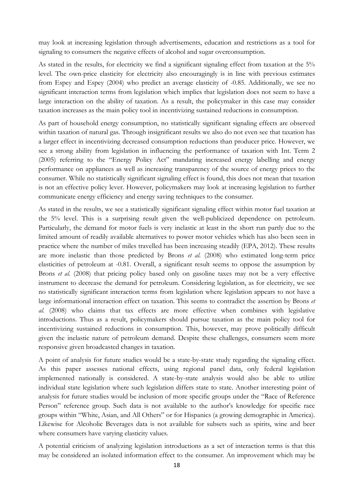may look at increasing legislation through advertisements, education and restrictions as a tool for signaling to consumers the negative effects of alcohol and sugar overconsumption.

As stated in the results, for electricity we find a significant signaling effect from taxation at the 5% level. The own-price elasticity for electricity also encouragingly is in line with previous estimates from Espey and Espey (2004) who predict an average elasticity of -0.85. Additionally, we see no significant interaction terms from legislation which implies that legislation does not seem to have a large interaction on the ability of taxation. As a result, the policymaker in this case may consider taxation increases as the main policy tool in incentivizing sustained reductions in consumption.

As part of household energy consumption, no statistically significant signaling effects are observed within taxation of natural gas. Through insignificant results we also do not even see that taxation has a larger effect in incentivizing decreased consumption reductions than producer price. However, we see a strong ability from legislation in influencing the performance of taxation with Int. Term 2 (2005) referring to the "Energy Policy Act" mandating increased energy labelling and energy performance on appliances as well as increasing transparency of the source of energy prices to the consumer. While no statistically significant signaling effect is found, this does not mean that taxation is not an effective policy lever. However, policymakers may look at increasing legislation to further communicate energy efficiency and energy saving techniques to the consumer.

As stated in the results, we see a statistically significant signaling effect within motor fuel taxation at the 5% level. This is a surprising result given the well-publicized dependence on petroleum. Particularly, the demand for motor fuels is very inelastic at least in the short run partly due to the limited amount of readily available alternatives to power motor vehicles which has also been seen in practice where the number of miles travelled has been increasing steadily (EPA, 2012). These results are more inelastic than those predicted by Brons *et al.* (2008) who estimated long-term price elasticities of petroleum at -0.81. Overall, a significant result seems to oppose the assumption by Brons *et al.* (2008) that pricing policy based only on gasoline taxes may not be a very effective instrument to decrease the demand for petroleum. Considering legislation, as for electricity, we see no statistically significant interaction terms from legislation where legislation appears to not have a large informational interaction effect on taxation. This seems to contradict the assertion by Brons *et*  al. (2008) who claims that tax effects are more effective when combines with legislative introductions. Thus as a result, policymakers should pursue taxation as the main policy tool for incentivizing sustained reductions in consumption. This, however, may prove politically difficult given the inelastic nature of petroleum demand. Despite these challenges, consumers seem more responsive given broadcasted changes in taxation.

A point of analysis for future studies would be a state-by-state study regarding the signaling effect. As this paper assesses national effects, using regional panel data, only federal legislation implemented nationally is considered. A state-by-state analysis would also be able to utilize individual state legislation where such legislation differs state to state. Another interesting point of analysis for future studies would be inclusion of more specific groups under the "Race of Reference Person" reference group. Such data is not available to the author's knowledge for specific race groups within "White, Asian, and All Others" or for Hispanics (a growing demographic in America). Likewise for Alcoholic Beverages data is not available for subsets such as spirits, wine and beer where consumers have varying elasticity values.

A potential criticism of analyzing legislation introductions as a set of interaction terms is that this may be considered an isolated information effect to the consumer. An improvement which may be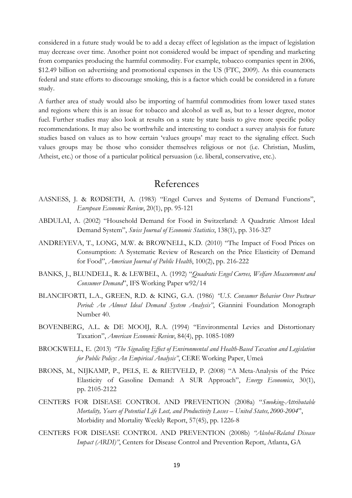considered in a future study would be to add a decay effect of legislation as the impact of legislation may decrease over time. Another point not considered would be impact of spending and marketing from companies producing the harmful commodity. For example, tobacco companies spent in 2006, \$12.49 billion on advertising and promotional expenses in the US (FTC, 2009). As this counteracts federal and state efforts to discourage smoking, this is a factor which could be considered in a future study.

A further area of study would also be importing of harmful commodities from lower taxed states and regions where this is an issue for tobacco and alcohol as well as, but to a lesser degree, motor fuel. Further studies may also look at results on a state by state basis to give more specific policy recommendations. It may also be worthwhile and interesting to conduct a survey analysis for future studies based on values as to how certain 'values groups' may react to the signaling effect. Such values groups may be those who consider themselves religious or not (i.e. Christian, Muslim, Atheist, etc.) or those of a particular political persuasion (i.e. liberal, conservative, etc.).

#### References

- AASNESS, J. & RØDSETH, A. (1983) "Engel Curves and Systems of Demand Functions", *European Economic Review*, 20(1), pp. 95-121
- ABDULAI, A. (2002) "Household Demand for Food in Switzerland: A Quadratic Almost Ideal Demand System", *Swiss Journal of Economic Statistics*, 138(1), pp. 316-327
- ANDREYEVA, T., LONG, M.W. & BROWNELL, K.D. (2010) "The Impact of Food Prices on Consumption: A Systematic Review of Research on the Price Elasticity of Demand for Food", *American Journal of Public Health*, 100(2), pp. 216-222
- BANKS, J., BLUNDELL, R. & LEWBEL, A. (1992) "*Quadratic Engel Curves, Welfare Measurement and Consumer Demand*", IFS Working Paper w92/14
- BLANCIFORTI, L.A., GREEN, R.D. & KING, G.A. (1986) *"U.S. Consumer Behavior Over Postwar Period: An Almost Ideal Demand System Analysis"*, Giannini Foundation Monograph Number 40.
- BOVENBERG, A.L. & DE MOOIJ, R.A. (1994) "Environmental Levies and Distortionary Taxation", *American Economic Review*, 84(4), pp. 1085-1089
- BROCKWELL, E. (2013) *"The Signaling Effect of Environmental and Health-Based Taxation and Legislation for Public Policy: An Empirical Analysis"*, CERE Working Paper, Umeå
- BRONS, M., NIJKAMP, P., PELS, E. & RIETVELD, P. (2008) "A Meta-Analysis of the Price Elasticity of Gasoline Demand: A SUR Approach", *Energy Economics*, 30(1), pp. 2105-2122
- CENTERS FOR DISEASE CONTROL AND PREVENTION (2008a) "*Smoking-Attributable Mortality, Years of Potential Life Lost, and Productivity Losses – United States,2000-2004*", Morbidity and Mortality Weekly Report, 57(45), pp. 1226-8
- CENTERS FOR DISEASE CONTROL AND PREVENTION (2008b) *"Alcohol-Related Disease Impact (ARDI)"*, Centers for Disease Control and Prevention Report, Atlanta, GA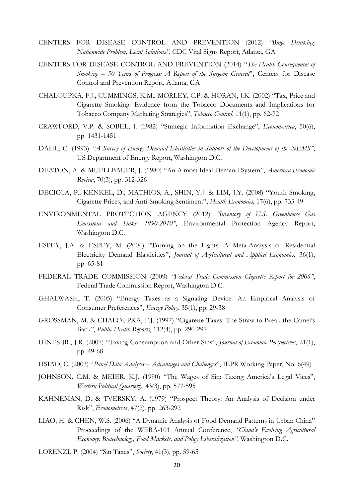- CENTERS FOR DISEASE CONTROL AND PREVENTION (2012) *"Binge Drinking: Nationwide Problem, Local Solutions"*, CDC Vital Signs Report, Atlanta, GA
- CENTERS FOR DISEASE CONTROL AND PREVENTION (2014) "*The Health Consequences of Smoking – 50 Years of Progress: A Report of the Surgeon General*", Centers for Disease Control and Prevention Report, Atlanta, GA
- CHALOUPKA, F.J., CUMMINGS, K.M., MORLEY, C.P. & HORAN, J.K. (2002) "Tax, Price and Cigarette Smoking: Evidence from the Tobacco Documents and Implications for Tobacco Company Marketing Strategies", *Tobacco Control*, 11(1), pp. 62-72
- CRAWFORD, V.P. & SOBEL, J. (1982) "Strategic Information Exchange", *Econometrica*, 50(6), pp. 1431-1451
- DAHL, C. (1993) *"A Survey of Energy Demand Elasticities in Support of the Development of the NEMS"*, US Department of Energy Report, Washington D.C.
- DEATON, A. & MUELLBAUER, J. (1980) "An Almost Ideal Demand System", *American Economic Review*, 70(3), pp. 312-326
- DECICCA, P., KENKEL, D., MATHIOS, A., SHIN, Y.J. & LIM, J.Y. (2008) "Youth Smoking, Cigarette Prices, and Anti-Smoking Sentiment", *Health Economics*, 17(6), pp. 733-49
- ENVIRONMENTAL PROTECTION AGENCY (2012) *"Inventory of U.S. Greenhouse Gas Emissions and Sinks: 1990-2010"*, Environmental Protection Agency Report, Washington D.C.
- ESPEY, J.A. & ESPEY, M. (2004) "Turning on the Lights: A Meta-Analysis of Residential Electricity Demand Elasticities", *Journal of Agricultural and Applied Economics*, 36(1), pp. 65-81
- FEDERAL TRADE COMMISSION (2009) *"Federal Trade Commission Cigarette Report for 2006"*, Federal Trade Commission Report, Washington D.C.
- GHALWASH, T. (2005) "Energy Taxes as a Signaling Device: An Empirical Analysis of Consumer Preferences", *Energy Policy*, 35(1), pp. 29-38
- GROSSMAN, M. & CHALOUPKA, F.J. (1997) "Cigarette Taxes: The Straw to Break the Camel's Back", *Public Health Reports*, 112(4), pp. 290-297
- HINES JR., J.R. (2007) "Taxing Consumption and Other Sins", *Journal of Economic Perspectives*, 21(1), pp. 49-68
- HSIAO, C. (2003) "*Panel Data Analysis – Advantages and Challenges*", IEPR Working Paper, No. 6(49)
- JOHNSON. C.M. & MEIER, K.J. (1990) "The Wages of Sin: Taxing America's Legal Vices", *Western Political Quarterly*, 43(3), pp. 577-595
- KAHNEMAN, D. & TVERSKY, A. (1979) "Prospect Theory: An Analysis of Decision under Risk", *Econometrica*, 47(2), pp. 263-292
- LIAO, H. & CHEN, W.S. (2006) "A Dynamic Analysis of Food Demand Patterns in Urban China" Proceedings of the WERA-101 Annual Conference, *"China's Evolving Agricultural Economy: Biotechnology, Food Markets, and Policy Liberalization"*, Washington D.C.
- LORENZI, P. (2004) "Sin Taxes", *Society*, 41(3), pp. 59-65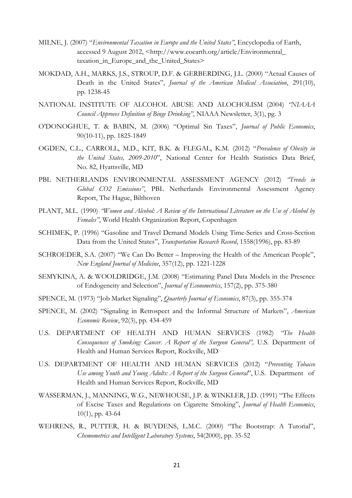- MILNE, J. (2007) "*Environmental Taxation in Europe and the United States"*, Encyclopedia of Earth, accessed 9 August 2012, <http://www.eoearth.org/article/Environmental\_ taxation\_in\_Europe\_and\_the\_United\_States>
- MOKDAD, A.H., MARKS, J.S., STROUP, D.F. & GERBERDING, J.L. (2000) "Actual Causes of Death in the United States", *Journal of the American Medical Association*, 291(10), pp. 1238-45
- NATIONAL INSTITUTE OF ALCOHOL ABUSE AND ALOCHOLISM (2004) *"NIAAA Council Approves Definition of Binge Drinking"*, NIAAA Newsletter, 3(1), pg. 3
- O'DONOGHUE, T. & BABIN, M. (2006) "Optimal Sin Taxes", *Journal of Public Economics*, 90(10-11), pp. 1825-1849
- OGDEN, C.L., CARROLL, M.D., KIT, B.K. & FLEGAL, K.M. (2012) "*Prevalence of Obesity in the United States, 2009-2010*", National Center for Health Statistics Data Brief, No. 82, Hyattsville, MD
- PBL NETHERLANDS ENVIRONMENTAL ASSESSMENT AGENCY (2012) *"Trends in Global CO2 Emissions"*, PBL Netherlands Environmental Assessment Agency Report, The Hague, Bilthoven
- PLANT, M.L. (1990) *"Women and Alcohol: A Review of the International Literature on the Use of Alcohol by Females"*, World Health Organization Report, Copenhagen
- SCHIMEK, P. (1996) "Gasoline and Travel Demand Models Using Time-Series and Cross-Section Data from the United States", *Transportation Research Record*, 1558(1996), pp. 83-89
- SCHROEDER, S.A. (2007) "We Can Do Better Improving the Health of the American People", *New England Journal of Medicine*, 357(12), pp. 1221-1228
- SEMYKINA, A. & WOOLDRIDGE, J.M. (2008) "Estimating Panel Data Models in the Presence of Endogeneity and Selection", *Journal of Econometrics*, 157(2), pp. 375-380
- SPENCE, M. (1973) "Job Market Signaling", *Quarterly Journal of Economics*, 87(3), pp. 355-374
- SPENCE, M. (2002) "Signaling in Retrospect and the Informal Structure of Markets", *American Economic Review*, 92(3), pp. 434-459
- U.S. DEPARTMENT OF HEALTH AND HUMAN SERVICES (1982) *"The Health Consequences of Smoking: Cancer. A Report of the Surgeon General",* U.S. Department of Health and Human Services Report, Rockville, MD
- U.S. DEPARTMENT OF HEALTH AND HUMAN SERVICES (2012) "*Preventing Tobacco Use among Youth and Young Adults: A Report of the Surgeon General*", U.S. Department of Health and Human Services Report, Rockville, MD
- WASSERMAN, J., MANNING, W.G., NEWHOUSE, J.P. & WINKLER, J.D. (1991) "The Effects of Excise Taxes and Regulations on Cigarette Smoking", *Journal of Health Economics*, 10(1), pp. 43-64
- WEHRENS, R., PUTTER, H. & BUYDENS, L.M.C. (2000) "The Bootstrap: A Tutorial", *Chemometrics and Intelligent Laboratory Systems*, 54(2000), pp. 35-52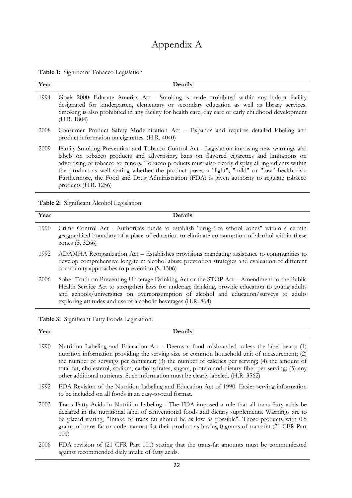# Appendix A

|  | Table 1: Significant Tobacco Legislation |  |  |
|--|------------------------------------------|--|--|
|--|------------------------------------------|--|--|

| Year | Details                                                                                                                                                                                                                                                                                                                                                                                                                                                                                                               |
|------|-----------------------------------------------------------------------------------------------------------------------------------------------------------------------------------------------------------------------------------------------------------------------------------------------------------------------------------------------------------------------------------------------------------------------------------------------------------------------------------------------------------------------|
| 1994 | Goals 2000: Educate America Act - Smoking is made prohibited within any indoor facility<br>designated for kindergarten, elementary or secondary education as well as library services.<br>Smoking is also prohibited in any facility for health care, day care or early childhood development<br>(H.R. 1804)                                                                                                                                                                                                          |
| 2008 | Consumer Product Safety Modernization Act - Expands and requires detailed labeling and<br>product information on cigarettes. (H.R. 4040)                                                                                                                                                                                                                                                                                                                                                                              |
| 2009 | Family Smoking Prevention and Tobacco Control Act - Legislation imposing new warnings and<br>labels on tobacco products and advertising, bans on flavored cigarettes and limitations on<br>advertising of tobacco to minors. Tobacco products must also clearly display all ingredients within<br>the product as well stating whether the product poses a "light", "mild" or "low" health risk.<br>Furthermore, the Food and Drug Administration (FDA) is given authority to regulate tobacco<br>products (H.R. 1256) |

**Table 2:** Significant Alcohol Legislation:

| Year | <b>Details</b>                                                                                                                                                                                                                                                                                                                                         |
|------|--------------------------------------------------------------------------------------------------------------------------------------------------------------------------------------------------------------------------------------------------------------------------------------------------------------------------------------------------------|
| 1990 | Crime Control Act - Authorizes funds to establish "drug-free school zones" within a certain<br>geographical boundary of a place of education to eliminate consumption of alcohol within these<br>zones (S. 3266)                                                                                                                                       |
| 1992 | ADAMHA Reorganization Act - Establishes provisions mandating assistance to communities to<br>develop comprehensive long-term alcohol abuse prevention strategies and evaluation of different<br>community approaches to prevention (S. 1306)                                                                                                           |
| 2006 | Sober Truth on Preventing Underage Drinking Act or the STOP Act – Amendment to the Public<br>Health Service Act to strengthen laws for underage drinking, provide education to young adults<br>and schools/universities on overconsumption of alcohol and education/surveys to adults<br>exploring attitudes and use of alcoholic beverages (H.R. 864) |

**Table 3:** Significant Fatty Foods Legislation:

| Year | Details                                                                                                                                                                                                                                                                                                                                                                                                                                                                                      |
|------|----------------------------------------------------------------------------------------------------------------------------------------------------------------------------------------------------------------------------------------------------------------------------------------------------------------------------------------------------------------------------------------------------------------------------------------------------------------------------------------------|
| 1990 | Nutrition Labeling and Education Act - Deems a food misbranded unless the label bears: (1)<br>nutrition information providing the serving size or common household unit of measurement; (2)<br>the number of servings per container; (3) the number of calories per serving; (4) the amount of<br>total fat, cholesterol, sodium, carbohydrates, sugars, protein and dietary fiber per serving; (5) any<br>other additional nutrients. Such information must be clearly labeled. (H.R. 3562) |
| 1992 | FDA Revision of the Nutrition Labeling and Education Act of 1990. Easier serving information<br>to be included on all foods in an easy-to-read format.                                                                                                                                                                                                                                                                                                                                       |
| 2003 | Trans Fatty Acids in Nutrition Labeling - The FDA imposed a rule that all trans fatty acids be<br>declared in the nutritional label of conventional foods and dietary supplements. Warnings are to<br>be placed stating, "Intake of trans fat should be as low as possible". Those products with 0.5<br>grams of trans fat or under cannot list their product as having 0 grams of trans fat (21 CFR Part<br>101)                                                                            |
| 2006 | FDA revision of (21 CFR Part 101) stating that the trans-fat amounts must be communicated                                                                                                                                                                                                                                                                                                                                                                                                    |

2006 FDA revision of (21 CFR Part 101) stating that the trans-fat amounts must be communicated against recommended daily intake of fatty acids.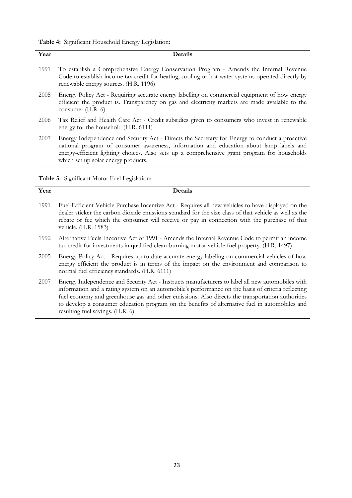| Table 4: Significant Household Energy Legislation: |
|----------------------------------------------------|
|----------------------------------------------------|

| Year | <b>Details</b>                                                                                                                                                                                                                                                                                                                   |
|------|----------------------------------------------------------------------------------------------------------------------------------------------------------------------------------------------------------------------------------------------------------------------------------------------------------------------------------|
| 1991 | To establish a Comprehensive Energy Conservation Program - Amends the Internal Revenue<br>Code to establish income tax credit for heating, cooling or hot water systems operated directly by<br>renewable energy sources. (H.R. 1196)                                                                                            |
| 2005 | Energy Policy Act - Requiring accurate energy labelling on commercial equipment of how energy<br>efficient the product is. Transparency on gas and electricity markets are made available to the<br>consumer (H.R. 6)                                                                                                            |
| 2006 | Tax Relief and Health Care Act - Credit subsidies given to consumers who invest in renewable<br>energy for the household (H.R. 6111)                                                                                                                                                                                             |
| 2007 | Energy Independence and Security Act - Directs the Secretary for Energy to conduct a proactive<br>national program of consumer awareness, information and education about lamp labels and<br>energy-efficient lighting choices. Also sets up a comprehensive grant program for households<br>which set up solar energy products. |

**Table 5:** Significant Motor Fuel Legislation:

| Year | <b>Details</b>                                                                                                                                                                                                                                                                                                                                                                                                                                   |
|------|--------------------------------------------------------------------------------------------------------------------------------------------------------------------------------------------------------------------------------------------------------------------------------------------------------------------------------------------------------------------------------------------------------------------------------------------------|
| 1991 | Fuel-Efficient Vehicle Purchase Incentive Act - Requires all new vehicles to have displayed on the<br>dealer sticker the carbon dioxide emissions standard for the size class of that vehicle as well as the<br>rebate or fee which the consumer will receive or pay in connection with the purchase of that<br>vehicle. (H.R. 1583)                                                                                                             |
| 1992 | Alternative Fuels Incentive Act of 1991 - Amends the Internal Revenue Code to permit an income<br>tax credit for investments in qualified clean-burning motor vehicle fuel property. (H.R. 1497)                                                                                                                                                                                                                                                 |
| 2005 | Energy Policy Act - Requires up to date accurate energy labeling on commercial vehicles of how<br>energy efficient the product is in terms of the impact on the environment and comparison to<br>normal fuel efficiency standards. (H.R. 6111)                                                                                                                                                                                                   |
| 2007 | Energy Independence and Security Act - Instructs manufacturers to label all new automobiles with<br>information and a rating system on an automobile's performance on the basis of criteria reflecting<br>fuel economy and greenhouse gas and other emissions. Also directs the transportation authorities<br>to develop a consumer education program on the benefits of alternative fuel in automobiles and<br>resulting fuel savings. (H.R. 6) |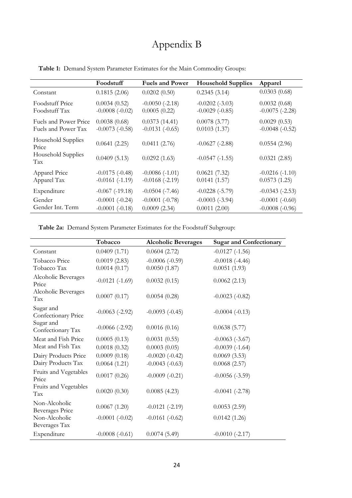# Appendix B

|                                              | Foodstuff                            | <b>Fuels and Power</b>               | <b>Household Supplies</b>               | Apparel                               |
|----------------------------------------------|--------------------------------------|--------------------------------------|-----------------------------------------|---------------------------------------|
| Constant                                     | 0.1815(2.06)                         | 0.0202(0.50)                         | 0.2345(3.14)                            | 0.0303(0.68)                          |
| <b>Foodstuff Price</b><br>Foodstuff Tax      | 0.0034(0.52)<br>$-0.0008(-0.02)$     | $-0.0050(-2.18)$<br>0.0005(0.22)     | $-0.0202(-3.03)$<br>$-0.0029$ $(-0.85)$ | 0.0032(0.68)<br>$-0.0075$ ( $-2.28$ ) |
| Fuels and Power Price<br>Fuels and Power Tax | 0.0038(0.68)<br>$-0.0073(-0.58)$     | 0.0373(14.41)<br>$-0.0131(-0.65)$    | 0.0078(3.77)<br>0.0103(1.37)            | 0.0029(0.53)<br>$-0.0048$ $(-0.52)$   |
| Household Supplies<br>Price                  | 0.0641(2.25)                         | 0.0411(2.76)                         | $-0.0627$ ( $-2.88$ )                   | 0.0554(2.96)                          |
| Household Supplies<br>Tax                    | 0.0409(5.13)                         | 0.0292(1.63)                         | $-0.0547$ $(-1.55)$                     | 0.0321(2.85)                          |
| Apparel Price<br>Apparel Tax                 | $-0.0175(-0.48)$<br>$-0.0161(-1.19)$ | $-0.0086(-1.01)$<br>$-0.0168(-2.19)$ | 0.0621(7.32)<br>0.0141(1.57)            | $-0.0216(-1.10)$<br>0.0573(1.25)      |
| Expenditure                                  | $-0.067$ $(-19.18)$                  | $-0.0504$ ( $-7.46$ )                | $-0.0228(-5.79)$                        | $-0.0343(-2.53)$                      |
| Gender                                       | $-0.0001$ $(-0.24)$                  | $-0.0001(-0.78)$                     | $-0.0003$ $(-3.94)$                     | $-0.0001$ $(-0.60)$                   |
| Gender Int. Term                             | $-0.0001$ $(-0.18)$                  | 0.0009(2.34)                         | 0.0011(2.00)                            | $-0.0008(-0.96)$                      |

**Table 1:** Demand System Parameter Estimates for the Main Commodity Groups:

**Table 2a:** Demand System Parameter Estimates for the Foodstuff Subgroup:

|                                         | Tobacco                      | <b>Alcoholic Beverages</b>       | <b>Sugar and Confectionary</b>   |
|-----------------------------------------|------------------------------|----------------------------------|----------------------------------|
| Constant                                | 0.0409(1.71)                 | 0.0604(2.72)                     | $-0.0127$ $(-1.56)$              |
| Tobacco Price<br>Tobacco Tax            | 0.0019(2.83)<br>0.0014(0.17) | $-0.0006(-0.59)$<br>0.0050(1.87) | $-0.0018(-4.46)$<br>0.0051(1.93) |
| Alcoholic Beverages<br>Price            | $-0.0121(-1.69)$             | 0.0032(0.15)                     | 0.0062(2.13)                     |
| Alcoholic Beverages<br>Tax              | 0.0007(0.17)                 | 0.0054(0.28)                     | $-0.0023$ $(-0.82)$              |
| Sugar and<br>Confectionary Price        | $-0.0063$ ( $-2.92$ )        | $-0.0093(-0.45)$                 | $-0.0004(-0.13)$                 |
| Sugar and<br>Confectionary Tax          | $-0.0066(-2.92)$             | 0.0016(0.16)                     | 0.0638(5.77)                     |
| Meat and Fish Price                     | 0.0005(0.13)                 | 0.0031(0.55)                     | $-0.0063$ ( $-3.67$ )            |
| Meat and Fish Tax                       | 0.0018(0.32)                 | 0.0003(0.05)                     | $-0.0039(-1.64)$                 |
| Dairy Products Price                    | 0.0009(0.18)                 | $-0.0020(-0.42)$                 | 0.0069(3.53)                     |
| Dairy Products Tax                      | 0.0064(1.21)                 | $-0.0043(-0.63)$                 | 0.0068(2.57)                     |
| Fruits and Vegetables<br>Price          | 0.0017(0.26)                 | $-0.0009(-0.21)$                 | $-0.0056(-3.59)$                 |
| Fruits and Vegetables<br>Tax            | 0.0020(0.30)                 | 0.0085(4.23)                     | $-0.0041$ $(-2.78)$              |
| Non-Alcoholic<br><b>Beverages Price</b> | 0.0067(1.20)                 | $-0.0121(-2.19)$                 | 0.0053(2.59)                     |
| Non-Alcoholic<br>Beverages Tax          | $-0.0001$ $(-0.02)$          | $-0.0161(-0.62)$                 | 0.0142(1.26)                     |
| Expenditure                             | $-0.0008(-0.61)$             | 0.0074(5.49)                     | $-0.0010(-2.17)$                 |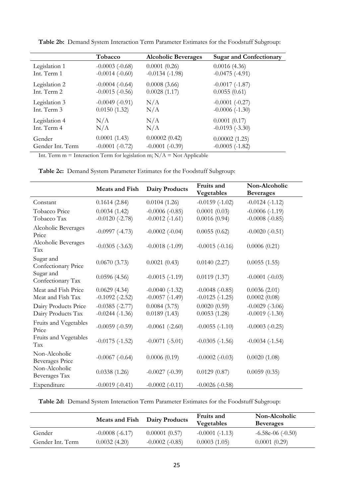|                  | Tobacco             | <b>Alcoholic Beverages</b> | <b>Sugar and Confectionary</b> |
|------------------|---------------------|----------------------------|--------------------------------|
| Legislation 1    | $-0.0003$ $(-0.68)$ | 0.0001(0.26)               | 0.0016(4.36)                   |
| Int. Term 1      | $-0.0014(-0.60)$    | $-0.0134(-1.98)$           | $-0.0475(-4.91)$               |
| Legislation 2    | $-0.0004(-0.64)$    | 0.0008(3.66)               | $-0.0017(-1.87)$               |
| Int. Term 2      | $-0.0015(-0.56)$    | 0.0028(1.17)               | 0.0055(0.61)                   |
| Legislation 3    | $-0.0049(-0.91)$    | N/A                        | $-0.0001$ $(-0.27)$            |
| Int. Term 3      | 0.0150(1.32)        | N/A                        | $-0.0006(-1.30)$               |
| Legislation 4    | N/A                 | N/A                        | 0.0001(0.17)                   |
| Int. Term 4      | N/A                 | N/A                        | $-0.0193(-3.30)$               |
| Gender           | 0.0001(1.43)        | 0.00002(0.42)              | 0.00002(1.25)                  |
| Gender Int. Term | $-0.0001$ $(-0.72)$ | $-0.0001$ $(-0.39)$        | $-0.0005$ ( $-1.82$ )          |

**Table 2b:** Demand System Interaction Term Parameter Estimates for the Foodstuff Subgroup:

Int. Term  $m =$  Interaction Term for legislation m;  $N/A =$  Not Applicable

|                                         | <b>Meats and Fish</b> | <b>Dairy Products</b> | Fruits and<br>Vegetables | Non-Alcoholic<br><b>Beverages</b> |
|-----------------------------------------|-----------------------|-----------------------|--------------------------|-----------------------------------|
| Constant                                | 0.1614(2.84)          | 0.0104(1.26)          | $-0.0159(-1.02)$         | $-0.0124(-1.12)$                  |
| Tobacco Price                           | 0.0034(1.42)          | $-0.0006(-0.85)$      | 0.0001(0.03)             | $-0.0006(-1.19)$                  |
| Tobacco Tax                             | $-0.0120(-2.78)$      | $-0.0012$ $(-1.61)$   | 0.0016(0.94)             | $-0.0008(-0.85)$                  |
| Alcoholic Beverages<br>Price            | $-0.0997(-4.73)$      | $-0.0002$ $(-0.04)$   | 0.0055(0.62)             | $-0.0020(-0.51)$                  |
| Alcoholic Beverages<br>Tax              | $-0.0305 (-3.63)$     | $-0.0018(-1.09)$      | $-0.0015(-0.16)$         | 0.0006(0.21)                      |
| Sugar and<br>Confectionary Price        | 0.0670(3.73)          | 0.0021(0.43)          | 0.0140(2.27)             | 0.0055(1.55)                      |
| Sugar and<br>Confectionary Tax          | 0.0596(4.56)          | $-0.0015(-1.19)$      | 0.0119(1.37)             | $-0.0001$ $(-0.03)$               |
| Meat and Fish Price                     | 0.0629(4.34)          | $-0.0040(-1.32)$      | $-0.0048(-0.85)$         | 0.0036(2.01)                      |
| Meat and Fish Tax                       | $-0.1092$ $(-2.52)$   | $-0.0057(-1.49)$      | $-0.0125(-1.25)$         | 0.0002(0.08)                      |
| Dairy Products Price                    | $-0.0385(-2.77)$      | 0.0084(3.75)          | 0.0020(0.59)             | $-0.0029$ $(-3.06)$               |
| Dairy Products Tax                      | $-0.0244(-1.36)$      | 0.0189(1.43)          | 0.0053(1.28)             | $-0.0019(-1.30)$                  |
| Fruits and Vegetables<br>Price          | $-0.0059(-0.59)$      | $-0.0061$ $(-2.60)$   | $-0.0055(-1.10)$         | $-0.0003(-0.25)$                  |
| Fruits and Vegetables<br>Tax            | $-0.0175(-1.52)$      | $-0.0071(-5.01)$      | $-0.0305(-1.56)$         | $-0.0034(-1.54)$                  |
| Non-Alcoholic<br><b>Beverages Price</b> | $-0.0067$ $(-0.64)$   | 0.0006(0.19)          | $-0.0002 (-0.03)$        | 0.0020(1.08)                      |
| Non-Alcoholic<br>Beverages Tax          | 0.0338(1.26)          | $-0.0027(-0.39)$      | 0.0129(0.87)             | 0.0059(0.35)                      |
| Expenditure                             | $-0.0019(-0.41)$      | $-0.0002(-0.11)$      | $-0.0026(-0.58)$         |                                   |

**Table 2c:** Demand System Parameter Estimates for the Foodstuff Subgroup:

**Table 2d:** Demand System Interaction Term Parameter Estimates for the Foodstuff Subgroup:

|                  | <b>Meats and Fish</b> | <b>Dairy Products</b> | <b>Fruits and</b><br>Vegetables | Non-Alcoholic<br><b>Beverages</b> |
|------------------|-----------------------|-----------------------|---------------------------------|-----------------------------------|
| Gender           | $-0.0008(-6.17)$      | 0.00001(0.57)         | $-0.0001(-1.13)$                | $-6.58e-06$ ( $-0.50$ )           |
| Gender Int. Term | 0.0032(4.20)          | $-0.0002(-0.85)$      | 0.0003(1.05)                    | 0.0001(0.29)                      |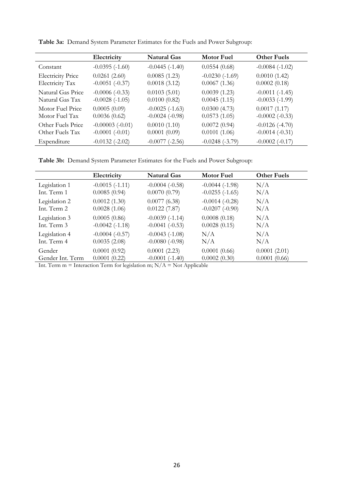|                          | Electricity         | <b>Natural Gas</b>  | <b>Motor Fuel</b> | <b>Other Fuels</b>  |
|--------------------------|---------------------|---------------------|-------------------|---------------------|
| Constant                 | $-0.0395(-1.60)$    | $-0.0445$ $(-1.40)$ | 0.0554(0.68)      | $-0.0084(-1.02)$    |
| <b>Electricity Price</b> | 0.0261(2.60)        | 0.0085(1.23)        | $-0.0230(-1.69)$  | 0.0010(1.42)        |
| <b>Electricity Tax</b>   | $-0.0051(-0.37)$    | 0.0018(3.12)        | 0.0067(1.36)      | 0.0002(0.18)        |
| Natural Gas Price        | $-0.0006(-0.33)$    | 0.0103(5.01)        | 0.0039(1.23)      | $-0.0011(-1.45)$    |
| Natural Gas Tax          | $-0.0028(-1.05)$    | 0.0100(0.82)        | 0.0045(1.15)      | $-0.0033(-1.99)$    |
| Motor Fuel Price         | 0.0005(0.09)        | $-0.0025(-1.63)$    | 0.0300(4.73)      | 0.0017(1.17)        |
| Motor Fuel Tax           | 0.0036(0.62)        | $-0.0024$ $(-0.98)$ | 0.0573(1.05)      | $-0.0002$ $(-0.33)$ |
| Other Fuels Price        | $-0.00003(-0.01)$   | 0.0010(1.10)        | 0.0072(0.94)      | $-0.0126(-4.70)$    |
| Other Fuels Tax          | $-0.0001$ $(-0.01)$ | 0.0001(0.09)        | 0.0101(1.06)      | $-0.0014(-0.31)$    |
| Expenditure              | $-0.0132$ $(-2.02)$ | $-0.0077$ $(-2.56)$ | $-0.0248(-3.79)$  | $-0.0002$ $(-0.17)$ |

**Table 3a:** Demand System Parameter Estimates for the Fuels and Power Subgroup:

**Table 3b:** Demand System Parameter Estimates for the Fuels and Power Subgroup:

|                  | Electricity         | <b>Natural Gas</b>  | <b>Motor Fuel</b>   | <b>Other Fuels</b> |
|------------------|---------------------|---------------------|---------------------|--------------------|
| Legislation 1    | $-0.0015(-1.11)$    | $-0.0004$ $(-0.58)$ | $-0.0044$ $(-1.98)$ | N/A                |
| Int. Term 1      | 0.0085(0.94)        | 0.0070(0.79)        | $-0.0255(-1.65)$    | N/A                |
| Legislation 2    | 0.0012(1.30)        | 0.0077(6.38)        | $-0.0014(-0.28)$    | N/A                |
| Int. Term 2      | 0.0028(1.06)        | 0.0122(7.87)        | $-0.0207(-0.90)$    | N/A                |
| Legislation 3    | 0.0005(0.86)        | $-0.0039(-1.14)$    | 0.0008(0.18)        | N/A                |
| Int. Term 3      | $-0.0042$ $(-1.18)$ | $-0.0041(-0.53)$    | 0.0028(0.15)        | N/A                |
| Legislation 4    | $-0.0004(-0.57)$    | $-0.0043(-1.08)$    | N/A                 | N/A                |
| Int. Term 4      | 0.0035(2.08)        | $-0.0080(-0.98)$    | N/A                 | N/A                |
| Gender           | 0.0001(0.92)        | 0.0001(2.23)        | 0.0001(0.66)        | 0.0001(2.01)       |
| Gender Int. Term | 0.0001(0.22)        | $-0.0001(-1.40)$    | 0.0002(0.30)        | 0.0001(0.66)       |

Int. Term  $m =$  Interaction Term for legislation  $m$ ;  $N/A =$  Not Applicable